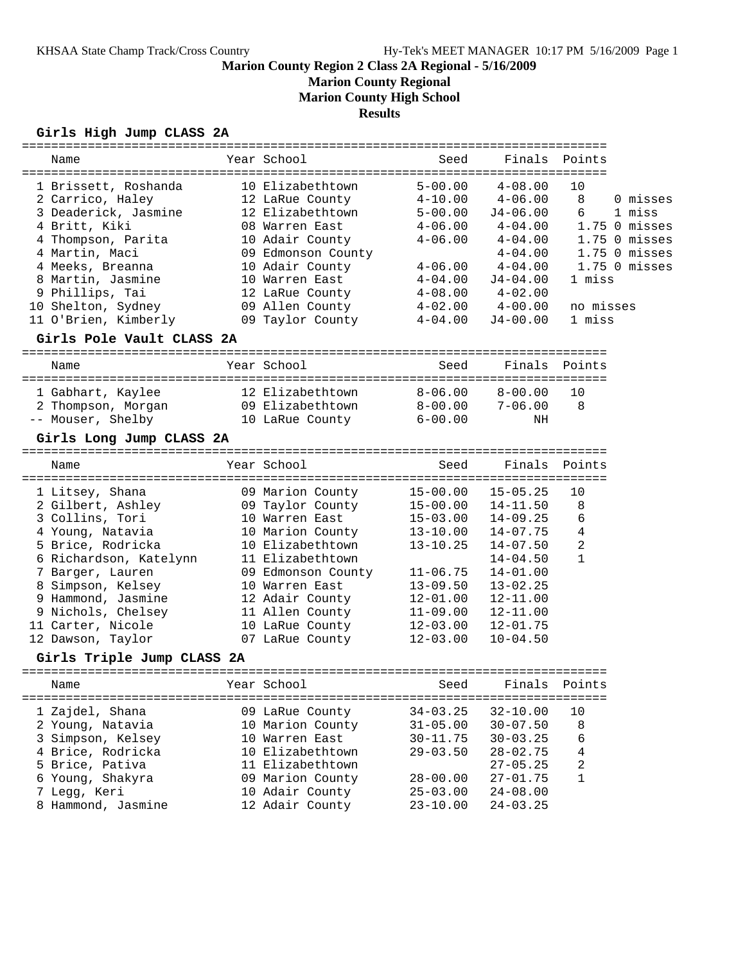**Marion County Regional**

**Marion County High School**

# **Results**

# **Girls High Jump CLASS 2A**

| Name                                     | Year School                         | Seed                       | Finals        | Points              |
|------------------------------------------|-------------------------------------|----------------------------|---------------|---------------------|
|                                          | 10 Elizabethtown                    |                            | $4 - 08.00$   |                     |
| 1 Brissett, Roshanda<br>2 Carrico, Haley | 12 LaRue County                     | $5 - 00.00$<br>$4 - 10.00$ | $4 - 06.00$   | 10<br>8<br>0 misses |
| 3 Deaderick, Jasmine                     | 12 Elizabethtown                    | $5 - 00.00$                | $J4 - 06.00$  | 6<br>1 miss         |
| 4 Britt, Kiki                            | 08 Warren East                      | $4 - 06.00$                | $4 - 04.00$   | $1.75$ 0 misses     |
|                                          | 10 Adair County                     | $4 - 06.00$                | $4 - 04.00$   | $1.75$ 0 misses     |
| 4 Thompson, Parita<br>4 Martin, Maci     | 09 Edmonson County                  |                            | $4 - 04.00$   | $1.75$ 0 misses     |
| 4 Meeks, Breanna                         | 10 Adair County                     | $4 - 06.00$                | $4 - 04.00$   | $1.75$ 0 misses     |
| 8 Martin, Jasmine                        | 10 Warren East                      | $4 - 04.00$                | $J4 - 04.00$  | 1 miss              |
| 9 Phillips, Tai                          | 12 LaRue County                     | $4 - 08.00$                | $4 - 02.00$   |                     |
| 10 Shelton, Sydney                       | 09 Allen County                     | $4 - 02.00$                | $4 - 00.00$   | no misses           |
| 11 O'Brien, Kimberly                     | 09 Taylor County                    | $4 - 04.00$                | $J4 - 00.00$  | 1 miss              |
| Girls Pole Vault CLASS 2A                |                                     |                            |               |                     |
|                                          |                                     |                            |               |                     |
| Name                                     | Year School                         | Seed                       | Finals        | Points              |
| 1 Gabhart, Kaylee                        | 12 Elizabethtown                    | $8 - 06.00$                | $8 - 00.00$   | 10                  |
| 2 Thompson, Morgan                       | 09 Elizabethtown                    | $8 - 00.00$                | $7 - 06.00$   | 8                   |
| -- Mouser, Shelby                        | 10 LaRue County                     | $6 - 00.00$                | NH            |                     |
| Girls Long Jump CLASS 2A                 |                                     |                            |               |                     |
|                                          |                                     |                            |               |                     |
| Name                                     | Year School                         | Seed                       | Finals        | Points              |
| 1 Litsey, Shana                          | 09 Marion County                    | $15 - 00.00$               | $15 - 05.25$  | 10                  |
| 2 Gilbert, Ashley                        | 09 Taylor County                    | $15 - 00.00$               | $14 - 11.50$  | 8                   |
| 3 Collins, Tori                          | 10 Warren East                      | $15 - 03.00$               | $14 - 09.25$  | 6                   |
| 4 Young, Natavia                         | 10 Marion County                    | $13 - 10.00$               | $14 - 07.75$  | 4                   |
| 5 Brice, Rodricka                        | 10 Elizabethtown                    | $13 - 10.25$               | $14 - 07.50$  | 2                   |
| 6 Richardson, Katelynn                   | 11 Elizabethtown                    |                            | $14 - 04.50$  | $\mathbf{1}$        |
| 7 Barger, Lauren                         | 09 Edmonson County                  | $11 - 06.75$               | $14 - 01.00$  |                     |
| 8 Simpson, Kelsey                        | 10 Warren East                      | $13 - 09.50$               | $13 - 02.25$  |                     |
| 9 Hammond, Jasmine                       | 12 Adair County                     | $12 - 01.00$               | $12 - 11.00$  |                     |
| 9 Nichols, Chelsey                       | 11 Allen County                     | $11 - 09.00$               | $12 - 11.00$  |                     |
| 11 Carter, Nicole                        | 10 LaRue County                     | $12 - 03.00$               | $12 - 01.75$  |                     |
| 12 Dawson, Taylor                        | 07 LaRue County                     | $12 - 03.00$               | $10 - 04.50$  |                     |
| Girls Triple Jump CLASS 2A               |                                     |                            |               |                     |
| Name                                     | Year School                         | Seed                       | Finals Points |                     |
|                                          |                                     |                            |               |                     |
| 1 Zajdel, Shana                          | 09 LaRue County                     | $34 - 03.25$               | $32 - 10.00$  | 10                  |
| 2 Young, Natavia                         | 10 Marion County                    | $31 - 05.00$               | $30 - 07.50$  | 8                   |
| 3 Simpson, Kelsey                        | 10 Warren East                      | $30 - 11.75$               | $30 - 03.25$  | 6                   |
| 4 Brice, Rodricka                        | 10 Elizabethtown                    | $29 - 03.50$               | $28 - 02.75$  | 4                   |
| 5 Brice, Pativa                          | 11 Elizabethtown                    |                            | $27 - 05.25$  | 2                   |
| 6 Young, Shakyra                         |                                     |                            |               | 1                   |
|                                          |                                     | $28 - 00.00$               | $27 - 01.75$  |                     |
| 7 Legg, Keri                             | 09 Marion County<br>10 Adair County | $25 - 03.00$               | $24 - 08.00$  |                     |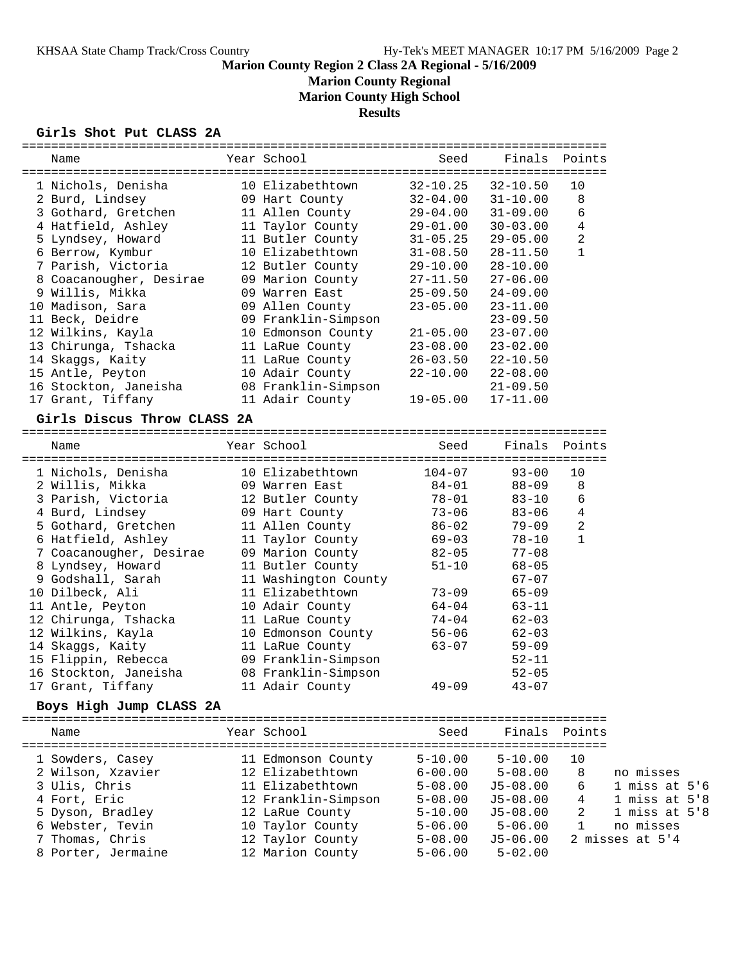**Marion County Regional**

**Marion County High School**

**Results**

================================================================================

|  |  |  |  | Girls Shot Put CLASS 2A |  |
|--|--|--|--|-------------------------|--|
|--|--|--|--|-------------------------|--|

| Name                        | Year School                          | Seed         | Finals        | Points       |                              |
|-----------------------------|--------------------------------------|--------------|---------------|--------------|------------------------------|
| 1 Nichols, Denisha          | 10 Elizabethtown                     | $32 - 10.25$ | $32 - 10.50$  | 10           |                              |
| 2 Burd, Lindsey             | 09 Hart County                       | $32 - 04.00$ | $31 - 10.00$  | 8            |                              |
| 3 Gothard, Gretchen         | 11 Allen County                      | $29 - 04.00$ | $31 - 09.00$  | 6            |                              |
| 4 Hatfield, Ashley          | 11 Taylor County                     | $29 - 01.00$ | $30 - 03.00$  | 4            |                              |
| 5 Lyndsey, Howard           | 11 Butler County                     | $31 - 05.25$ | $29 - 05.00$  | 2            |                              |
| 6 Berrow, Kymbur            | 10 Elizabethtown                     | $31 - 08.50$ | $28 - 11.50$  | $\mathbf 1$  |                              |
| 7 Parish, Victoria          | 12 Butler County                     | $29 - 10.00$ | $28 - 10.00$  |              |                              |
| 8 Coacanougher, Desirae     | 09 Marion County                     | $27 - 11.50$ | $27 - 06.00$  |              |                              |
| 9 Willis, Mikka             | 09 Warren East                       | $25 - 09.50$ | $24 - 09.00$  |              |                              |
| 10 Madison, Sara            | 09 Allen County                      | $23 - 05.00$ | $23 - 11.00$  |              |                              |
| 11 Beck, Deidre             | 09 Franklin-Simpson                  |              | $23 - 09.50$  |              |                              |
| 12 Wilkins, Kayla           | 10 Edmonson County                   | $21 - 05.00$ | $23 - 07.00$  |              |                              |
| 13 Chirunga, Tshacka        | 11 LaRue County                      | $23 - 08.00$ | $23 - 02.00$  |              |                              |
| 14 Skaggs, Kaity            | 11 LaRue County                      | $26 - 03.50$ | $22 - 10.50$  |              |                              |
| 15 Antle, Peyton            | 10 Adair County                      | $22 - 10.00$ | $22 - 08.00$  |              |                              |
| 16 Stockton, Janeisha       | 08 Franklin-Simpson                  |              | $21 - 09.50$  |              |                              |
| 17 Grant, Tiffany           | 11 Adair County                      | $19 - 05.00$ | $17 - 11.00$  |              |                              |
| Girls Discus Throw CLASS 2A |                                      |              |               |              |                              |
|                             |                                      |              |               |              |                              |
| Name                        | Year School                          | Seed         | Finals        | Points       |                              |
| 1 Nichols, Denisha          | 10 Elizabethtown                     | $104 - 07$   | $93 - 00$     | 10           |                              |
| 2 Willis, Mikka             | 09 Warren East                       | $84 - 01$    | $88 - 09$     | 8            |                              |
| 3 Parish, Victoria          | 12 Butler County                     | $78 - 01$    | $83 - 10$     | 6            |                              |
| 4 Burd, Lindsey             | 09 Hart County                       | $73 - 06$    | $83 - 06$     | 4            |                              |
| 5 Gothard, Gretchen         | 11 Allen County                      | $86 - 02$    | $79 - 09$     | 2            |                              |
| 6 Hatfield, Ashley          | 11 Taylor County                     | $69 - 03$    | 78-10         | $\mathbf{1}$ |                              |
| 7 Coacanougher, Desirae     | 09 Marion County                     | $82 - 05$    | $77 - 08$     |              |                              |
| 8 Lyndsey, Howard           | 11 Butler County                     | $51 - 10$    | $68 - 05$     |              |                              |
| 9 Godshall, Sarah           | 11 Washington County                 |              | $67 - 07$     |              |                              |
| 10 Dilbeck, Ali             | 11 Elizabethtown                     | $73 - 09$    | $65 - 09$     |              |                              |
| 11 Antle, Peyton            | 10 Adair County                      | $64 - 04$    | $63 - 11$     |              |                              |
| 12 Chirunga, Tshacka        | 11 LaRue County                      | 74-04        | $62 - 03$     |              |                              |
| 12 Wilkins, Kayla           | 10 Edmonson County                   | $56 - 06$    | $62 - 03$     |              |                              |
| 14 Skaggs, Kaity            | 11 LaRue County                      | $63 - 07$    | $59 - 09$     |              |                              |
| 15 Flippin, Rebecca         | 09 Franklin-Simpson                  |              | $52 - 11$     |              |                              |
| 16 Stockton, Janeisha       | 08 Franklin-Simpson                  |              | $52 - 05$     |              |                              |
| 17 Grant, Tiffany           | 11 Adair County                      | $49 - 09$    | $43 - 07$     |              |                              |
| Boys High Jump CLASS 2A     |                                      |              |               |              |                              |
| Name                        | Year School                          | Seed         | Finals Points |              |                              |
|                             |                                      |              |               |              |                              |
| 1 Sowders, Casey            | 11 Edmonson County                   | $5 - 10.00$  | $5 - 10.00$   | 10           |                              |
| 2 Wilson, Xzavier           | 12 Elizabethtown                     | $6 - 00.00$  | $5 - 08.00$   | 8            | no misses                    |
| 3 Ulis, Chris               | 11 Elizabethtown                     | $5 - 08.00$  | $J5 - 08.00$  | 6            | $1$ miss at $5'6$            |
| 4 Fort, Eric                | 12 Franklin-Simpson                  | $5 - 08.00$  | $J5 - 08.00$  | 4            | $1$ miss at $5'8$            |
| 5 Dyson, Bradley            | 12 LaRue County                      | $5 - 10.00$  | $J5 - 08.00$  | 2            | 1 miss at $5'8$              |
| 6 Webster, Tevin            | 10 Taylor County<br>12 Taylor County | $5 - 06.00$  | $5 - 06.00$   | $\mathbf{1}$ | no misses<br>2 misses at 5'4 |
| 7 Thomas, Chris             |                                      | $5 - 08.00$  | $J5 - 06.00$  |              |                              |
| 8 Porter, Jermaine          | 12 Marion County                     | $5 - 06.00$  | $5 - 02.00$   |              |                              |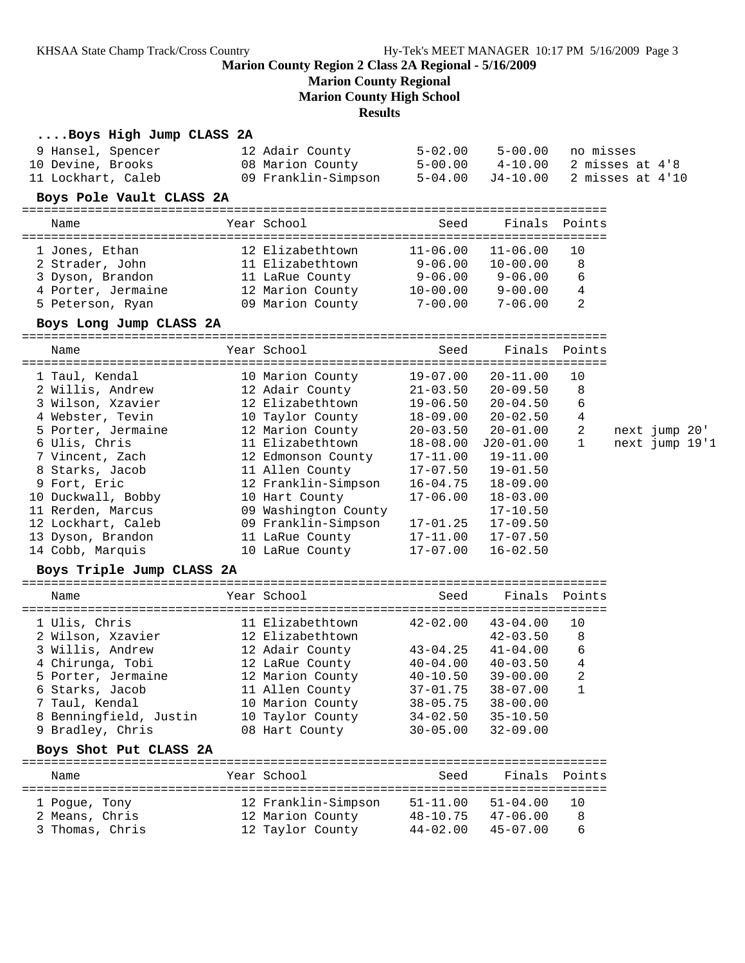# **Marion County Regional**

**Marion County High School**

**Results**

| Boys High Jump CLASS 2A   |                      |              |              |                            |                |  |
|---------------------------|----------------------|--------------|--------------|----------------------------|----------------|--|
| 9 Hansel, Spencer         | 12 Adair County      | $5 - 02.00$  | $5 - 00.00$  | no misses                  |                |  |
| 10 Devine, Brooks         | 08 Marion County     | $5 - 00.00$  | $4 - 10.00$  | 2 misses at 4'8            |                |  |
| 11 Lockhart, Caleb        | 09 Franklin-Simpson  | $5 - 04.00$  | $J4 - 10.00$ | 2 misses at 4'10           |                |  |
| Boys Pole Vault CLASS 2A  |                      |              |              |                            |                |  |
| Name                      | Year School          | Seed         |              | Finals Points              |                |  |
|                           |                      |              |              |                            |                |  |
| 1 Jones, Ethan            | 12 Elizabethtown     | $11 - 06.00$ | $11 - 06.00$ | 10                         |                |  |
| 2 Strader, John           | 11 Elizabethtown     | $9 - 06.00$  | $10 - 00.00$ | 8                          |                |  |
| 3 Dyson, Brandon          | 11 LaRue County      | $9 - 06.00$  | $9 - 06.00$  | 6                          |                |  |
| 4 Porter, Jermaine        | 12 Marion County     | $10 - 00.00$ | $9 - 00.00$  | 4                          |                |  |
| 5 Peterson, Ryan          | 09 Marion County     | $7 - 00.00$  | $7 - 06.00$  | 2                          |                |  |
| Boys Long Jump CLASS 2A   |                      |              |              |                            |                |  |
| Name                      | Year School          | Seed         | Finals       | Points                     |                |  |
| 1 Taul, Kendal            | 10 Marion County     | $19 - 07.00$ | $20 - 11.00$ | 10                         |                |  |
| 2 Willis, Andrew          | 12 Adair County      | $21 - 03.50$ | $20 - 09.50$ | 8                          |                |  |
| 3 Wilson, Xzavier         | 12 Elizabethtown     | 19-06.50     | $20 - 04.50$ | 6                          |                |  |
| 4 Webster, Tevin          | 10 Taylor County     | $18 - 09.00$ | $20 - 02.50$ | 4                          |                |  |
| 5 Porter, Jermaine        | 12 Marion County     | $20 - 03.50$ | $20 - 01.00$ | 2                          | next jump 20'  |  |
| 6 Ulis, Chris             | 11 Elizabethtown     | 18-08.00     | J20-01.00    | 1                          | next jump 19'1 |  |
| 7 Vincent, Zach           | 12 Edmonson County   | $17 - 11.00$ | $19 - 11.00$ |                            |                |  |
| 8 Starks, Jacob           | 11 Allen County      | $17 - 07.50$ | $19 - 01.50$ |                            |                |  |
| 9 Fort, Eric              | 12 Franklin-Simpson  | 16-04.75     | $18 - 09.00$ |                            |                |  |
| 10 Duckwall, Bobby        | 10 Hart County       | $17 - 06.00$ | $18 - 03.00$ |                            |                |  |
| 11 Rerden, Marcus         | 09 Washington County |              | $17 - 10.50$ |                            |                |  |
| 12 Lockhart, Caleb        | 09 Franklin-Simpson  | 17-01.25     | $17 - 09.50$ |                            |                |  |
| 13 Dyson, Brandon         | 11 LaRue County      | $17 - 11.00$ | $17 - 07.50$ |                            |                |  |
| 14 Cobb, Marquis          | 10 LaRue County      | $17 - 07.00$ | $16 - 02.50$ |                            |                |  |
| Boys Triple Jump CLASS 2A |                      |              |              |                            |                |  |
| Name                      | Year School          | Seed         | Finals       | Points                     |                |  |
|                           |                      |              |              |                            |                |  |
| 1 Ulis, Chris             | 11 Elizabethtown     | $42 - 02.00$ | $43 - 04.00$ | 10                         |                |  |
| 2 Wilson, Xzavier         | 12 Elizabethtown     |              | $42 - 03.50$ | 8                          |                |  |
| 3 Willis, Andrew          | 12 Adair County      | 43-04.25     | $41 - 04.00$ | 6                          |                |  |
| 4 Chirunga, Tobi          | 12 LaRue County      | $40 - 04.00$ | $40 - 03.50$ | 4                          |                |  |
| 5 Porter, Jermaine        | 12 Marion County     | $40 - 10.50$ | $39 - 00.00$ | $\overline{\phantom{a}}$ 2 |                |  |
| 6 Starks, Jacob           | 11 Allen County      | $37 - 01.75$ | $38 - 07.00$ | 1                          |                |  |
| 7 Taul, Kendal            | 10 Marion County     | $38 - 05.75$ | $38 - 00.00$ |                            |                |  |
| 8 Benningfield, Justin    | 10 Taylor County     | $34 - 02.50$ | $35 - 10.50$ |                            |                |  |
| 9 Bradley, Chris          | 08 Hart County       | $30 - 05.00$ | $32 - 09.00$ |                            |                |  |
| Boys Shot Put CLASS 2A    |                      |              |              |                            |                |  |
| Name                      | Year School          | Seed         |              | Finals Points              |                |  |
| 1 Pogue, Tony             | 12 Franklin-Simpson  | $51 - 11.00$ | $51 - 04.00$ | 10                         |                |  |
| 2 Means, Chris            | 12 Marion County     | $48 - 10.75$ | $47 - 06.00$ | 8                          |                |  |
| 3 Thomas, Chris           | 12 Taylor County     | $44 - 02.00$ | $45 - 07.00$ | 6                          |                |  |
|                           |                      |              |              |                            |                |  |